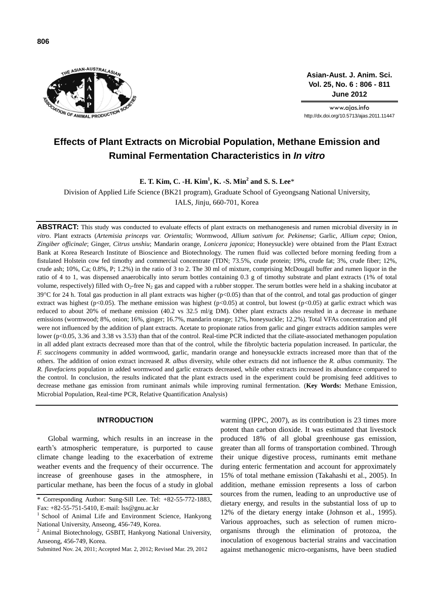

**Asian-Aust. J. Anim. Sci. Vol. 25, No. 6 : 806 - 811 June 2012**

www.ajas.info http://dx.doi.org/10.5713/ajas.2011.11447

# **Effects of Plant Extracts on Microbial Population, Methane Emission and Ruminal Fermentation Characteristics in** *In vitro*

**E. T. Kim, C. -H. Kim<sup>1</sup> , K. -S. Min<sup>2</sup> and S. S. Lee**\*

Division of Applied Life Science (BK21 program), Graduate School of Gyeongsang National University,

IALS, Jinju, 660-701, Korea

**ABSTRACT:** This study was conducted to evaluate effects of plant extracts on methanogenesis and rumen microbial diversity in *in vitro*. Plant extracts (*Artemisia princeps var. Orientalis*; Wormwood, *Allium sativum for. Pekinense*; Garlic, *Allium cepa*; Onion, *Zingiber officinale*; Ginger, *Citrus unshiu*; Mandarin orange, *Lonicera japonica*; Honeysuckle) were obtained from the Plant Extract Bank at Korea Research Institute of Bioscience and Biotechnology. The rumen fluid was collected before morning feeding from a fistulated Holstein cow fed timothy and commercial concentrate (TDN; 73.5%, crude protein; 19%, crude fat; 3%, crude fiber; 12%, crude ash; 10%, Ca; 0.8%, P; 1.2%) in the ratio of 3 to 2. The 30 ml of mixture, comprising McDougall buffer and rumen liquor in the ratio of 4 to 1, was dispensed anaerobically into serum bottles containing 0.3 g of timothy substrate and plant extracts (1% of total volume, respectively) filled with  $O_2$ -free  $N_2$  gas and capped with a rubber stopper. The serum bottles were held in a shaking incubator at 39 °C for 24 h. Total gas production in all plant extracts was higher ( $p<0.05$ ) than that of the control, and total gas production of ginger extract was highest (p<0.05). The methane emission was highest (p<0.05) at control, but lowest (p<0.05) at garlic extract which was reduced to about 20% of methane emission (40.2 vs  $32.5$  ml/g DM). Other plant extracts also resulted in a decrease in methane emissions (wormwood; 8%, onion; 16%, ginger; 16.7%, mandarin orange; 12%, honeysuckle; 12.2%). Total VFAs concentration and pH were not influenced by the addition of plant extracts. Acetate to propionate ratios from garlic and ginger extracts addition samples were lower (p<0.05, 3.36 and 3.38 vs 3.53) than that of the control. Real-time PCR indicted that the ciliate-associated methanogen population in all added plant extracts decreased more than that of the control, while the fibrolytic bacteria population increased. In particular, the *F. succinogens* community in added wormwood, garlic, mandarin orange and honeysuckle extracts increased more than that of the others. The addition of onion extract increased *R. albus* diversity, while other extracts did not influence the *R. albus* community. The *R. flavefaciens* population in added wormwood and garlic extracts decreased, while other extracts increased its abundance compared to the control. In conclusion, the results indicated that the plant extracts used in the experiment could be promising feed additives to decrease methane gas emission from ruminant animals while improving ruminal fermentation. (**Key Words:** Methane Emission, Microbial Population, Real-time PCR, Relative Quantification Analysis)

# **INTRODUCTION**

Global warming, which results in an increase in the earth's atmospheric temperature, is purported to cause climate change leading to the exacerbation of extreme weather events and the frequency of their occurrence. The increase of greenhouse gases in the atmosphere, in particular methane, has been the focus of a study in global warming (IPPC, 2007), as its contribution is 23 times more potent than carbon dioxide. It was estimated that livestock produced 18% of all global greenhouse gas emission, greater than all forms of transportation combined. Through their unique digestive process, ruminants emit methane during enteric fermentation and account for approximately 15% of total methane emission (Takahashi et al., 2005). In addition, methane emission represents a loss of carbon sources from the rumen, leading to an unproductive use of dietary energy, and results in the substantial loss of up to 12% of the dietary energy intake (Johnson et al., 1995). Various approaches, such as selection of rumen microorganisms through the elimination of protozoa, the inoculation of exogenous bacterial strains and vaccination against methanogenic micro-organisms, have been studied

<sup>\*</sup> Corresponding Author: Sung-Sill Lee. Tel: +82-55-772-1883, Fax: +82-55-751-5410, E-mail: lss@gnu.ac.kr

<sup>&</sup>lt;sup>1</sup> School of Animal Life and Environment Science, Hankyong National University, Anseong, 456-749, Korea.

 $2$  Animal Biotechnology, GSBIT, Hankyong National University, Anseong, 456-749, Korea.

Submitted Nov. 24, 2011; Accepted Mar. 2, 2012; Revised Mar. 29, 2012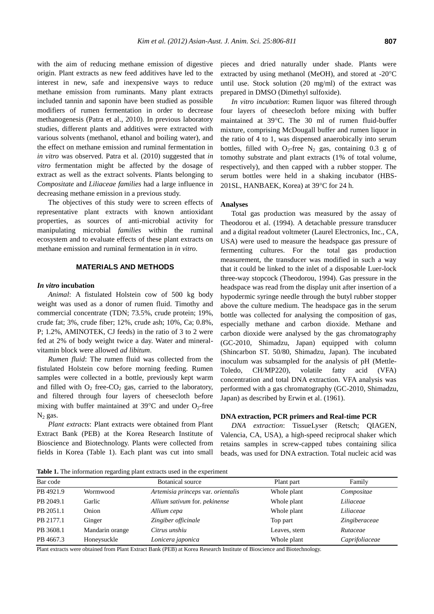with the aim of reducing methane emission of digestive origin. Plant extracts as new feed additives have led to the interest in new, safe and inexpensive ways to reduce methane emission from ruminants. Many plant extracts included tannin and saponin have been studied as possible modifiers of rumen fermentation in order to decrease methanogenesis (Patra et al., 2010). In previous laboratory studies, different plants and additives were extracted with various solvents (methanol, ethanol and boiling water), and the effect on methane emission and ruminal fermentation in *in vitro* was observed. Patra et al. (2010) suggested that *in vitro* fermentation might be affected by the dosage of extract as well as the extract solvents. Plants belonging to *Compositate* and *Liliaceae families* had a large influence in decreasing methane emission in a previous study.

The objectives of this study were to screen effects of representative plant extracts with known antioxidant properties, as sources of anti-microbial activity for manipulating microbial *families* within the ruminal ecosystem and to evaluate effects of these plant extracts on methane emission and ruminal fermentation in *in vitro*.

# **MATERIALS AND METHODS**

#### *In vitro* **incubation**

*Animal*: A fistulated Holstein cow of 500 kg body weight was used as a donor of rumen fluid. Timothy and commercial concentrate (TDN; 73.5%, crude protein; 19%, crude fat; 3%, crude fiber; 12%, crude ash; 10%, Ca; 0.8%, P; 1.2%, AMINOTEK, CJ feeds) in the ratio of 3 to 2 were fed at 2% of body weight twice a day. Water and mineralvitamin block were allowed *ad libitum*.

*Rumen fluid*: The rumen fluid was collected from the fistulated Holstein cow before morning feeding. Rumen samples were collected in a bottle, previously kept warm and filled with  $O_2$  free-CO<sub>2</sub> gas, carried to the laboratory, and filtered through four layers of cheesecloth before mixing with buffer maintained at  $39^{\circ}$ C and under O<sub>2</sub>-free  $N_2$  gas.

*Plant extracts*: Plant extracts were obtained from Plant Extract Bank (PEB) at the Korea Research Institute of Bioscience and Biotechnology. Plants were collected from fields in Korea (Table 1). Each plant was cut into small pieces and dried naturally under shade. Plants were extracted by using methanol (MeOH), and stored at -20 $^{\circ}$ C until use. Stock solution (20 mg/ml) of the extract was prepared in DMSO (Dimethyl sulfoxide).

*In vitro incubation*: Rumen liquor was filtered through four layers of cheesecloth before mixing with buffer maintained at 39°C. The 30 ml of rumen fluid-buffer mixture, comprising McDougall buffer and rumen liquor in the ratio of 4 to 1, was dispensed anaerobically into serum bottles, filled with  $O_2$ -free  $N_2$  gas, containing 0.3 g of tomothy substrate and plant extracts (1% of total volume, respectively), and then capped with a rubber stopper. The serum bottles were held in a shaking incubator (HBS-201SL, HANBAEK, Korea) at 39°C for 24 h.

## **Analyses**

Total gas production was measured by the assay of Theodorou et al. (1994). A detachable pressure transducer and a digital readout voltmeter (Laurel Electronics, Inc., CA, USA) were used to measure the headspace gas pressure of fermenting cultures. For the total gas production measurement, the transducer was modified in such a way that it could be linked to the inlet of a disposable Luer-lock three-way stopcock (Theodorou, 1994). Gas pressure in the headspace was read from the display unit after insertion of a hypodermic syringe needle through the butyl rubber stopper above the culture medium. The headspace gas in the serum bottle was collected for analysing the composition of gas, especially methane and carbon dioxide. Methane and carbon dioxide were analysed by the gas chromatography (GC-2010, Shimadzu, Japan) equipped with column (Shincarbon ST. 50/80, Shimadzu, Japan). The incubated inoculum was subsampled for the analysis of pH (Mettle-Toledo, CH/MP220), volatile fatty acid (VFA) concentration and total DNA extraction. VFA analysis was performed with a gas chromatography (GC-2010, Shimadzu, Japan) as described by Erwin et al. (1961).

#### **DNA extraction, PCR primers and Real-time PCR**

*DNA extraction*: TissueLyser (Retsch; QIAGEN, Valencia, CA, USA), a high-speed reciprocal shaker which retains samples in screw-capped tubes containing silica beads, was used for DNA extraction. Total nucleic acid was

**Table 1.** The information regarding plant extracts used in the experiment

| Bar code  |                 | <b>Botanical</b> source            | Plant part   | Family         |
|-----------|-----------------|------------------------------------|--------------|----------------|
| PB 4921.9 | Wormwood        | Artemisia princeps var. orientalis | Whole plant  | Compositae     |
| PB 2049.1 | Garlic          | Allium sativum for. pekinense      | Whole plant  | Liliaceae      |
| PB 2051.1 | Onion           | Allium cepa                        | Whole plant  | Liliaceae      |
| PB 2177.1 | Ginger          | Zingiber officinale                | Top part     | Zingiberaceae  |
| PB 3608.1 | Mandarin orange | Citrus unshiu                      | Leaves, stem | Rutaceae       |
| PB 4667.3 | Honeysuckle     | Lonicera japonica                  | Whole plant  | Caprifoliaceae |

Plant extracts were obtained from Plant Extract Bank (PEB) at Korea Research Institute of Bioscience and Biotechnology.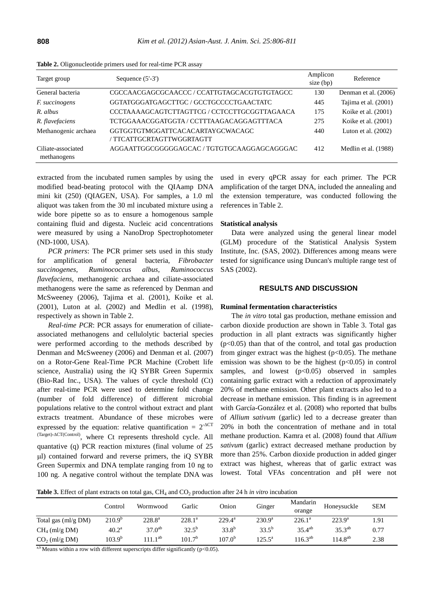| Target group                      | Sequence $(5'-3')$                                            | Amplicon<br>size (bp) | Reference             |
|-----------------------------------|---------------------------------------------------------------|-----------------------|-----------------------|
| General bacteria                  | CGCCAACGAGCGCAACCC / CCATTGTAGCACGTGTGTAGCC                   | 130                   | Denman et al. (2006)  |
| <i>F. succinogens</i>             | GGTATGGGATGAGCTTGC / GCCTGCCCCTGAACTATC                       | 445                   | Tajima et al. (2001)  |
| R. albus                          | CCCTAAAAGCAGTCTTAGTTCG / CCTCCTTGCGGTTAGAACA                  | 175                   | Koike et al. (2001)   |
| R. flavefaciens                   | TCTGGAAACGGATGGTA / CCTTTAAGACAGGAGTTTACA                     | 275                   | Koike et al. (2001)   |
| Methanogenic archaea              | GGTGGTGTMGGATTCACACARTAYGCWACAGC<br>/ TTCATTGCRTAGTTWGGRTAGTT | 440                   | Luton et al. $(2002)$ |
| Ciliate-associated<br>methanogens | AGGAATTGGCGGGGGAGCAC / TGTGTGCAAGGAGCAGGGAC                   | 412                   | Medlin et al. (1988)  |

**Table 2.** Oligonucleotide primers used for real-time PCR assay

extracted from the incubated rumen samples by using the modified bead-beating protocol with the QIAamp DNA mini kit (250) (QIAGEN, USA). For samples, a 1.0 ml aliquot was taken from the 30 ml incubated mixture using a wide bore pipette so as to ensure a homogenous sample containing fluid and digesta. Nucleic acid concentrations were measured by using a NanoDrop Spectrophotometer (ND-1000, USA).

*PCR primers*: The PCR primer sets used in this study for amplification of general bacteria, *Fibrobacter succinogenes*, *Ruminococcus albus*, *Ruminococcus flavefaciens*, methanogenic archaea and ciliate-associated methanogens were the same as referenced by Denman and McSweeney (2006), Tajima et al. (2001), Koike et al. (2001), Luton at al. (2002) and Medlin et al. (1998), respectively as shown in Table 2.

*Real-time PCR*: PCR assays for enumeration of ciliateassociated methanogens and cellulolytic bacterial species were performed according to the methods described by Denman and McSweeney (2006) and Denman et al. (2007) on a Rotor-Gene Real-Time PCR Machine (Crobett life science, Australia) using the iQ SYBR Green Supermix (Bio-Rad Inc., USA). The values of cycle threshold (Ct) after real-time PCR were used to determine fold change (number of fold difference) of different microbial populations relative to the control without extract and plant extracts treatment. Abundance of these microbes were expressed by the equation: relative quantification =  $2^{\text{-ACT}}$ (Target)-ACT(Control), where Ct represents threshold cycle. All quantative (q) PCR reaction mixtures (final volume of 25 l) contained forward and reverse primers, the iQ SYBR Green Supermix and DNA template ranging from 10 ng to 100 ng. A negative control without the template DNA was

used in every qPCR assay for each primer. The PCR amplification of the target DNA, included the annealing and the extension temperature, was conducted following the references in Table 2.

#### **Statistical analysis**

Data were analyzed using the general linear model (GLM) procedure of the Statistical Analysis System Institute, Inc. (SAS, 2002). Differences among means were tested for significance using Duncan's multiple range test of SAS (2002).

#### **RESULTS AND DISCUSSION**

### **Ruminal fermentation characteristics**

The *in vitro* total gas production, methane emission and carbon dioxide production are shown in Table 3. Total gas production in all plant extracts was significantly higher  $(p<0.05)$  than that of the control, and total gas production from ginger extract was the highest  $(p<0.05)$ . The methane emission was shown to be the highest  $(p<0.05)$  in control samples, and lowest  $(p<0.05)$  observed in samples containing garlic extract with a reduction of approximately 20% of methane emission. Other plant extracts also led to a decrease in methane emission. This finding is in agreement with García-González et al. (2008) who reported that bulbs of *Allium sativum* (garlic) led to a decrease greater than 20% in both the concentration of methane and in total methane production. Kamra et al. (2008) found that *Allium sativum* (garlic) extract decreased methane production by more than 25%. Carbon dioxide production in added ginger extract was highest, whereas that of garlic extract was lowest. Total VFAs concentration and pH were not

**Table 3.** Effect of plant extracts on total gas, CH<sub>4</sub> and CO<sub>2</sub> production after 24 h *in vitro* incubation

|                     | Control         | Wormwood           | Garlic             | Onion           | Ginger          | Mandarin<br>orange | Honeysuckle     | <b>SEM</b> |
|---------------------|-----------------|--------------------|--------------------|-----------------|-----------------|--------------------|-----------------|------------|
| Total gas (ml/g DM) | $210.9^{\circ}$ | $228.8^{\rm a}$    | $228.1^a$          | $229.4^{\rm a}$ | $230.9^{\rm a}$ | $226.1^a$          | $223.9^{\rm a}$ | 1.91       |
| $CH4$ (ml/g DM)     | $40.2^{\rm a}$  | 37.0 <sup>ab</sup> | $32.5^{b}$         | $33.8^{b}$      | $33.5^{b}$      | $35.4^{ab}$        | $35.3^{ab}$     | 0.77       |
| $CO2$ (ml/g DM)     | $103.9^{b}$     | $111.1^{ab}$       | 101.7 <sup>b</sup> | $107.0^{\circ}$ | $125.5^{\circ}$ | $116.3^{ab}$       | $114.8^{ab}$    | 2.38       |

 $a,b$  Means within a row with different superscripts differ significantly (p<0.05).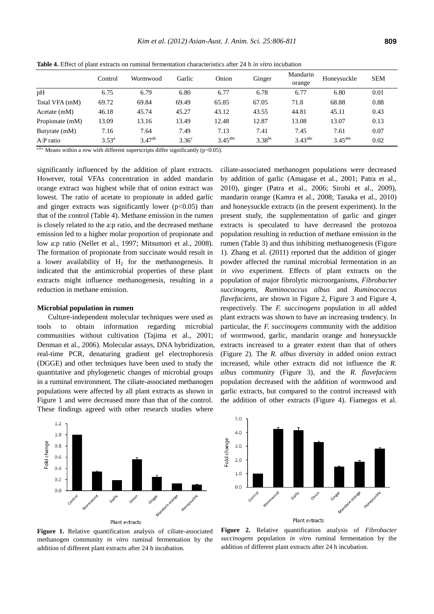|                 | Control        | Wormwood    | Garlic         | Onion                 | Ginger      | Mandarin<br>orange | Honeysuckle         | <b>SEM</b> |
|-----------------|----------------|-------------|----------------|-----------------------|-------------|--------------------|---------------------|------------|
| pH              | 6.75           | 6.79        | 6.80           | 6.77                  | 6.78        | 6.77               | 6.80                | 0.01       |
| Total VFA (mM)  | 69.72          | 69.84       | 69.49          | 65.85                 | 67.05       | 71.8               | 68.88               | 0.88       |
| Acetate $(mM)$  | 46.18          | 45.74       | 45.27          | 43.12                 | 43.55       | 44.81              | 45.11               | 0.43       |
| Propionate (mM) | 13.09          | 13.16       | 13.49          | 12.48                 | 12.87       | 13.08              | 13.07               | 0.13       |
| Butyrate (mM)   | 7.16           | 7.64        | 7.49           | 7.13                  | 7.41        | 7.45               | 7.61                | 0.07       |
| A:P ratio       | $3.53^{\circ}$ | $3.47^{ab}$ | $3.36^{\circ}$ | $3.45$ <sup>abc</sup> | $3.38^{bc}$ | $3.43^{abc}$       | $3.45^{\text{abc}}$ | 0.02       |

**Table 4.** Effect of plant extracts on ruminal fermentation characteristics after 24 h *in vitro* incubation

a,b,c Means within a row with different superscripts differ significantly ( $p<0.05$ ).

significantly influenced by the addition of plant extracts. However, total VFAs concentration in added mandarin orange extract was highest while that of onion extract was lowest. The ratio of acetate to propionate in added garlic and ginger extracts was significantly lower ( $p<0.05$ ) than that of the control (Table 4). Methane emission in the rumen is closely related to the a:p ratio, and the decreased methane emission led to a higher molar proportion of propionate and low a:p ratio (Nellet et al., 1997; Mitsumori et al., 2008). The formation of propionate from succinate would result in a lower availability of  $H<sub>2</sub>$  for the methanogenesis. It indicated that the antimicrobial properties of these plant extracts might influence methanogenesis, resulting in a reduction in methane emission.

#### **Microbial population in rumen**

Culture-independent molecular techniques were used as tools to obtain information regarding microbial communities without cultivation (Tajima et al., 2001; Denman et al., 2006). Molecular assays, DNA hybridization, real-time PCR, denaturing gradient gel electrophoresis (DGGE) and other techniques have been used to study the quantitative and phylogenetic changes of microbial groups in a ruminal environment. The ciliate-associated methanogen populations were affected by all plant extracts as shown in Figure 1 and were decreased more than that of the control. These findings agreed with other research studies where

ciliate-associated methanogen populations were decreased by addition of garlic (Amagase et al., 2001; Patra et al., 2010), ginger (Patra et al., 2006; Sirohi et al., 2009), mandarin orange (Kamra et al., 2008; Tanaka et al., 2010) and honeysuckle extracts (in the present experiment). In the present study, the supplementation of garlic and ginger extracts is speculated to have decreased the protozoa population resulting in reduction of methane emission in the rumen (Table 3) and thus inhibiting methanogenesis (Figure 1). Zhang et al. (2011) reported that the addition of ginger powder affected the ruminal microbial fermentation in an *in vivo* experiment. Effects of plant extracts on the population of major fibrolytic microorganisms, *Fibrobacter succinogens*, *Ruminococcus albus* and *Ruminococcus flavefaciens*, are shown in Figure 2, Figure 3 and Figure 4, respectively. The *F. succinogens* population in all added plant extracts was shown to have an increasing tendency. In particular, the *F. succinogens* community with the addition of wormwood, garlic, mandarin orange and honeysuckle extracts increased to a greater extent than that of others (Figure 2). The *R. albus* diversity in added onion extract increased, while other extracts did not influence the *R. albus* community (Figure 3), and the *R. flavefaciens*  population decreased with the addition of wormwood and garlic extracts, but compared to the control increased with the addition of other extracts (Figure 4). Fiamegos et al.



**Figure 1.** Relative quantification analysis of ciliate-associated methanogen community *in vitro* ruminal fermentation by the addition of different plant extracts after 24 h incubation.



**Figure 2.** Relative quantification analysis of *Fibrobacter succinogens* population *in vitro* ruminal fermentation by the addition of different plant extracts after 24 h incubation.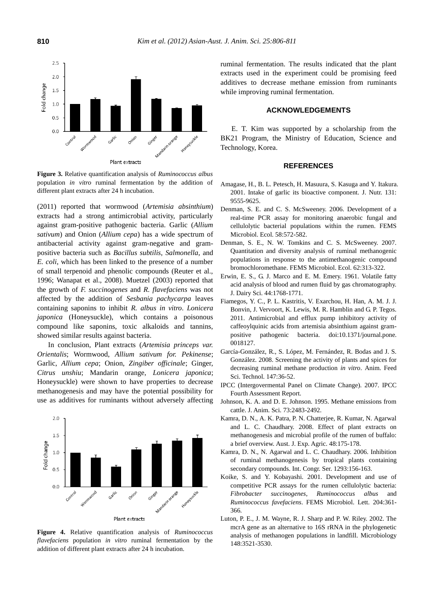

**Figure 3.** Relative quantification analysis of *Ruminococcus albus*  population *in vitro* ruminal fermentation by the addition of different plant extracts after 24 h incubation.

(2011) reported that wormwood (*Artemisia absinthium*) extracts had a strong antimicrobial activity, particularly against gram-positive pathogenic bacteria. Garlic (*Allium sativum*) and Onion (*Allium cepa*) has a wide spectrum of antibacterial activity against gram-negative and grampositive bacteria such as *Bacillus subtilis*, *Salmonella*, and *E. coli*, which has been linked to the presence of a number of small terpenoid and phenolic compounds (Reuter et al., 1996; Wanapat et al., 2008). Muetzel (2003) reported that the growth of *F. succinogenes* and *R. flavefaciens* was not affected by the addition of *Sesbania pachycarpa* leaves containing saponins to inhibit *R. albus in vitro*. *Lonicera japonica* (Honeysuckle), which contains a poisonous compound like saponins, toxic alkaloids and tannins, showed similar results against bacteria.

In conclusion, Plant extracts (*Artemisia princeps var. Orientalis*; Wormwood, *Allium sativum for. Pekinense*; Garlic, *Allium cepa*; Onion, *Zingiber officinale*; Ginger, *Citrus unshiu*; Mandarin orange, *Lonicera japonica*; Honeysuckle) were shown to have properties to decrease methanogenesis and may have the potential possibility for use as additives for ruminants without adversely affecting



**Figure 4.** Relative quantification analysis of *Ruminococcus flavefaciens* population *in vitro* ruminal fermentation by the addition of different plant extracts after 24 h incubation.

ruminal fermentation. The results indicated that the plant extracts used in the experiment could be promising feed additives to decrease methane emission from ruminants while improving ruminal fermentation.

## **ACKNOWLEDGEMENTS**

E. T. Kim was supported by a scholarship from the BK21 Program, the Ministry of Education, Science and Technology, Korea.

## **REFERENCES**

- Amagase, H., B. L. Petesch, H. Masuura, S. Kasuga and Y. Itakura. 2001. Intake of garlic its bioactive component. J. Nutr. 131: 9555-9625.
- Denman, S. E. and C. S. McSweeney. 2006. Development of a real-time PCR assay for monitoring anaerobic fungal and cellulolytic bacterial populations within the rumen. FEMS Microbiol. Ecol. 58:572-582.
- Denman, S. E., N. W. Tomkins and C. S. McSweeney. 2007. Quantitation and diversity analysis of ruminal methanogenic populations in response to the antimethanogenic compound bromochloromethane. FEMS Microbiol. Ecol. 62:313-322.
- Erwin, E. S., G. J. Marco and E. M. Emery. 1961. Volatile fatty acid analysis of blood and rumen fluid by gas chromatography. J. Dairy Sci. 44:1768-1771.
- Fiamegos, Y. C., P. L. Kastritis, V. Exarchou, H. Han, A. M. J. J. Bonvin, J. Vervoort, K. Lewis, M. R. Hamblin and G. P. Tegos. 2011. Antimicrobial and efflux pump inhibitory activity of caffeoylquinic acids from artemisia absinthium against grampositive pathogenic bacteria. doi:10.1371/journal.pone. 0018127.
- García-González, R., S. López, M. Fernández, R. Bodas and J. S. González. 2008. Screening the activity of plants and spices for decreasing ruminal methane production *in vitro*. Anim. Feed Sci. Technol. 147:36-52.
- IPCC (Intergovermental Panel on Climate Change). 2007. IPCC Fourth Assessment Report.
- Johnson, K. A. and D. E. Johnson. 1995. Methane emissions from cattle. J. Anim. Sci. 73:2483-2492.
- Kamra, D. N., A. K. Patra, P. N. Chatterjee, R. Kumar, N. Agarwal and L. C. Chaudhary. 2008. Effect of plant extracts on methanogenesis and microbial profile of the rumen of buffalo: a brief overview. Aust. J. Exp. Agric. 48:175-178.
- Kamra, D. N., N. Agarwal and L. C. Chaudhary. 2006. Inhibition of ruminal methanogenesis by tropical plants containing secondary compounds. Int. Congr. Ser. 1293:156-163.
- Koike, S. and Y. Kobayashi. 2001. Development and use of competitive PCR assays for the rumen cellulolytic bacteria: *Fibrobacter succinogenes*, *Ruminococcus albus* and *Ruminococcus favefaciens*. FEMS Microbiol. Lett. 204:361- 366.
- Luton, P. E., J. M. Wayne, R. J. Sharp and P. W. Riley. 2002. The mcrA gene as an alternative to 16S rRNA in the phylogenetic analysis of methanogen populations in landfill. Microbiology 148:3521-3530.